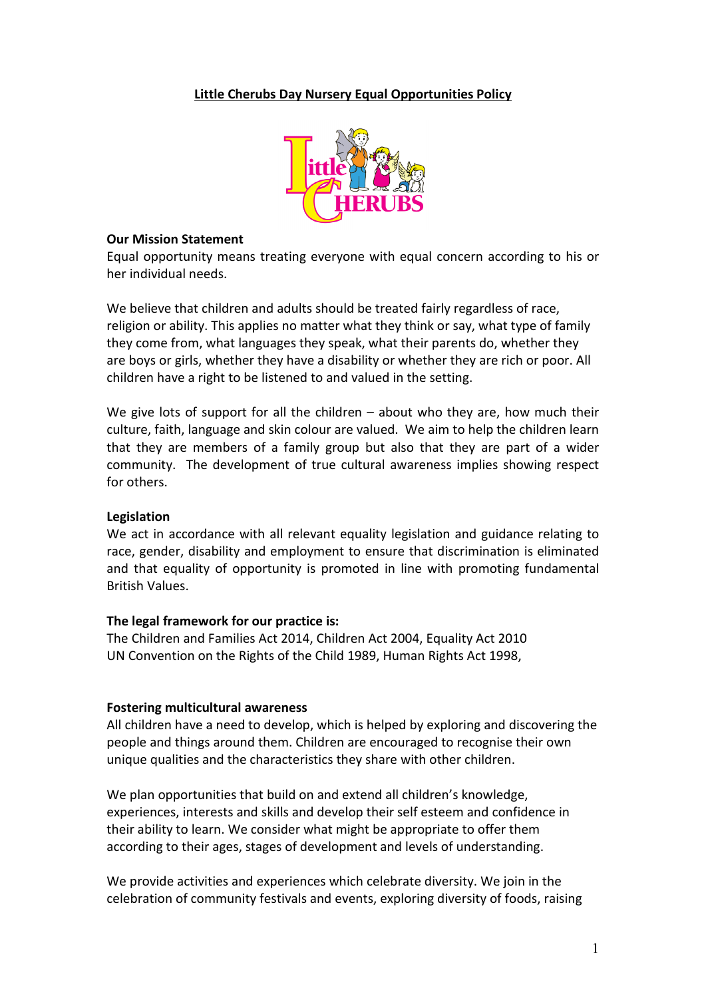# **Little Cherubs Day Nursery Equal Opportunities Policy**



#### **Our Mission Statement**

Equal opportunity means treating everyone with equal concern according to his or her individual needs.

We believe that children and adults should be treated fairly regardless of race, religion or ability. This applies no matter what they think or say, what type of family they come from, what languages they speak, what their parents do, whether they are boys or girls, whether they have a disability or whether they are rich or poor. All children have a right to be listened to and valued in the setting.

We give lots of support for all the children  $-$  about who they are, how much their culture, faith, language and skin colour are valued. We aim to help the children learn that they are members of a family group but also that they are part of a wider community. The development of true cultural awareness implies showing respect for others.

## **Legislation**

We act in accordance with all relevant equality legislation and guidance relating to race, gender, disability and employment to ensure that discrimination is eliminated and that equality of opportunity is promoted in line with promoting fundamental British Values.

#### **The legal framework for our practice is:**

The Children and Families Act 2014, Children Act 2004, Equality Act 2010 UN Convention on the Rights of the Child 1989, Human Rights Act 1998,

#### **Fostering multicultural awareness**

All children have a need to develop, which is helped by exploring and discovering the people and things around them. Children are encouraged to recognise their own unique qualities and the characteristics they share with other children.

We plan opportunities that build on and extend all children's knowledge, experiences, interests and skills and develop their self esteem and confidence in their ability to learn. We consider what might be appropriate to offer them according to their ages, stages of development and levels of understanding.

We provide activities and experiences which celebrate diversity. We join in the celebration of community festivals and events, exploring diversity of foods, raising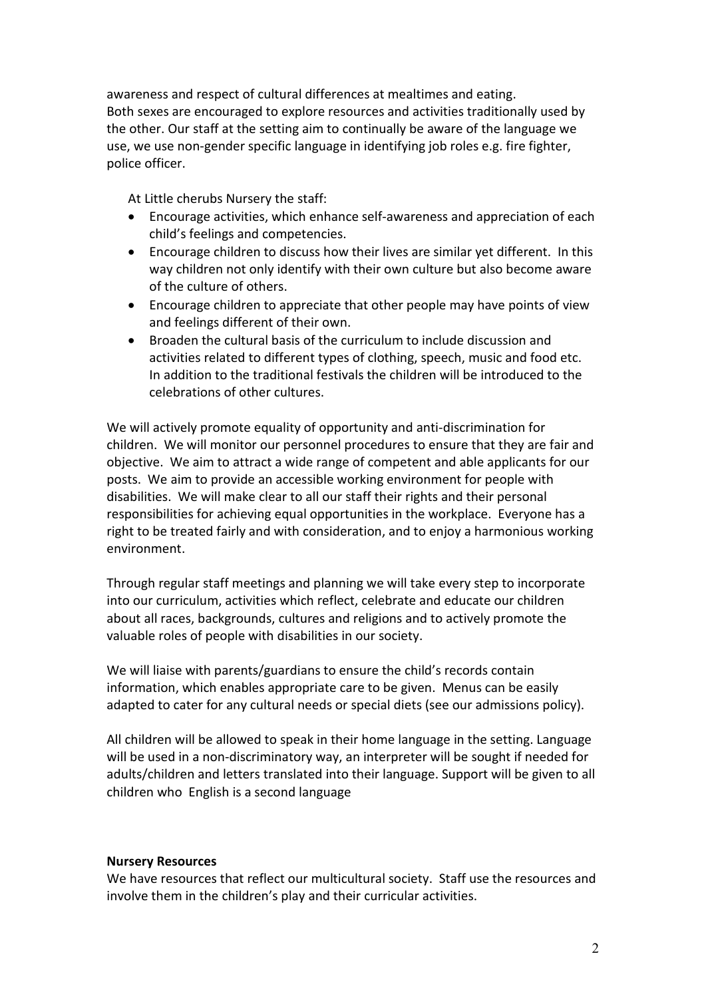awareness and respect of cultural differences at mealtimes and eating. Both sexes are encouraged to explore resources and activities traditionally used by the other. Our staff at the setting aim to continually be aware of the language we use, we use non-gender specific language in identifying job roles e.g. fire fighter, police officer.

At Little cherubs Nursery the staff:

- Encourage activities, which enhance self-awareness and appreciation of each child's feelings and competencies.
- Encourage children to discuss how their lives are similar yet different. In this way children not only identify with their own culture but also become aware of the culture of others.
- Encourage children to appreciate that other people may have points of view and feelings different of their own.
- Broaden the cultural basis of the curriculum to include discussion and activities related to different types of clothing, speech, music and food etc. In addition to the traditional festivals the children will be introduced to the celebrations of other cultures.

We will actively promote equality of opportunity and anti-discrimination for children. We will monitor our personnel procedures to ensure that they are fair and objective. We aim to attract a wide range of competent and able applicants for our posts. We aim to provide an accessible working environment for people with disabilities. We will make clear to all our staff their rights and their personal responsibilities for achieving equal opportunities in the workplace. Everyone has a right to be treated fairly and with consideration, and to enjoy a harmonious working environment.

Through regular staff meetings and planning we will take every step to incorporate into our curriculum, activities which reflect, celebrate and educate our children about all races, backgrounds, cultures and religions and to actively promote the valuable roles of people with disabilities in our society.

We will liaise with parents/guardians to ensure the child's records contain information, which enables appropriate care to be given. Menus can be easily adapted to cater for any cultural needs or special diets (see our admissions policy).

All children will be allowed to speak in their home language in the setting. Language will be used in a non-discriminatory way, an interpreter will be sought if needed for adults/children and letters translated into their language. Support will be given to all children who English is a second language

## **Nursery Resources**

We have resources that reflect our multicultural society. Staff use the resources and involve them in the children's play and their curricular activities.